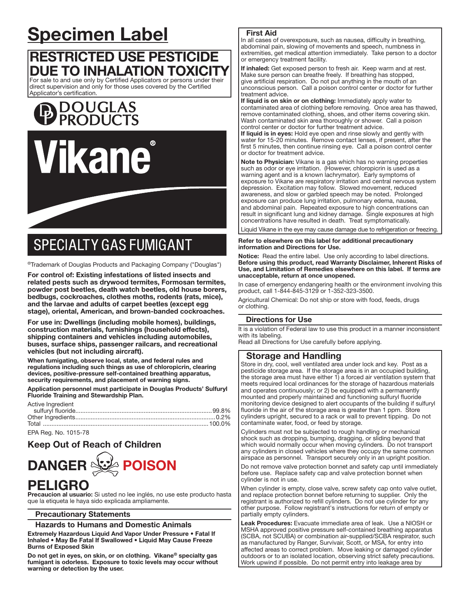# Specimen Label

# RESTRICTED USE PESTICIDE DUE TO INHALATION TOXICITY For sale to and use only by Certified Applicators or persons under their

direct supervision and only for those uses covered by the Certified Applicator's certification.





# **SPECIALTY GAS FUMIGANT**

®Trademark of Douglas Products and Packaging Company ("Douglas")

For control of: Existing infestations of listed insects and related pests such as drywood termites, Formosan termites, powder post beetles, death watch beetles, old house borers, bedbugs, cockroaches, clothes moths, rodents (rats, mice), and the larvae and adults of carpet beetles (except egg stage), oriental, American, and brown-banded cockroaches.

For use in: Dwellings (including mobile homes), buildings, construction materials, furnishings (household effects), shipping containers and vehicles including automobiles, buses, surface ships, passenger railcars, and recreational vehicles (but not including aircraft).

When fumigating, observe local, state, and federal rules and regulations including such things as use of chloropicrin, clearing devices, positive-pressure self-contained breathing apparatus, security requirements, and placement of warning signs.

Application personnel must participate in Douglas Products' Sulfuryl Fluoride Training and Stewardship Plan.

| Active Ingredient |  |
|-------------------|--|
|                   |  |
|                   |  |
|                   |  |
|                   |  |

EPA Reg. No. 1015-78

l

# Keep Out of Reach of Children



# PELIGRO

Precaucion al usuario: Si usted no lee inglés, no use este producto hasta que la etiqueta le haya sido explicada ampliamente.

# Precautionary Statements

# Hazards to Humans and Domestic Animals

Extremely Hazardous Liquid And Vapor Under Pressure • Fatal If Inhaled • May Be Fatal If Swallowed • Liquid May Cause Freeze Burns of Exposed Skin

Do not get in eyes, on skin, or on clothing. Vikane® specialty gas fumigant is odorless. Exposure to toxic levels may occur without warning or detection by the user.

# First Aid

In all cases of overexposure, such as nausea, difficulty in breathing, abdominal pain, slowing of movements and speech, numbness in extremities, get medical attention immediately. Take person to a doctor or emergency treatment facility.

If inhaled: Get exposed person to fresh air. Keep warm and at rest. Make sure person can breathe freely. If breathing has stopped, give artificial respiration. Do not put anything in the mouth of an unconscious person. Call a poison control center or doctor for further treatment advice.

If liquid is on skin or on clothing: Immediately apply water to contaminated area of clothing before removing. Once area has thawed, remove contaminated clothing, shoes, and other items covering skin. Wash contaminated skin area thoroughly or shower. Call a poison control center or doctor for further treatment advice.

If liquid is in eyes: Hold eye open and rinse slowly and gently with water for 15-20 minutes. Remove contact lenses, if present, after the first 5 minutes, then continue rinsing eye. Call a poison control center or doctor for treatment advice.

Note to Physician: Vikane is a gas which has no warning properties such as odor or eye irritation. (However, chloropicrin is used as a warning agent and is a known lachrymator). Early symptoms of exposure to Vikane are respiratory irritation and central nervous system depression. Excitation may follow. Slowed movement, reduced awareness, and slow or garbled speech may be noted. Prolonged exposure can produce lung irritation, pulmonary edema, nausea, and abdominal pain. Repeated exposure to high concentrations can result in significant lung and kidney damage. Single exposures at high concentrations have resulted in death. Treat symptomatically.

Liquid Vikane in the eye may cause damage due to refrigeration or freezing.

#### ֧֖֚֕֕ Refer to elsewhere on this label for additional precautionary information and Directions for Use.

Notice: Read the entire label. Use only according to label directions. Before using this product, read Warranty Disclaimer, Inherent Risks of Use, and Limitation of Remedies elsewhere on this label. If terms are unacceptable, return at once unopened.

In case of emergency endangering health or the environment involving this product, call 1-844-845-3129 or 1-352-323-3500.

Agricultural Chemical: Do not ship or store with food, feeds, drugs or clothing.

# Directions for Use

It is a violation of Federal law to use this product in a manner inconsistent with its labeling.

Read all Directions for Use carefully before applying.

# Storage and Handling

Store in dry, cool, well ventilated area under lock and key. Post as a pesticide storage area. If the storage area is in an occupied building, the storage area must have either 1) a forced air ventilation system that meets required local ordinances for the storage of hazardous materials and operates continuously; or 2) be equipped with a permanently mounted and properly maintained and functioning sulfuryl fluoride monitoring device designed to alert occupants of the building if sulfuryl fluoride in the air of the storage area is greater than 1 ppm. Store cylinders upright, secured to a rack or wall to prevent tipping. Do not contaminate water, food, or feed by storage.

Cylinders must not be subjected to rough handling or mechanical shock such as dropping, bumping, dragging, or sliding beyond that which would normally occur when moving cylinders. Do not transport any cylinders in closed vehicles where they occupy the same common airspace as personnel. Transport securely only in an upright position.

Do not remove valve protection bonnet and safety cap until immediately before use. Replace safety cap and valve protection bonnet when cylinder is not in use.

When cylinder is empty, close valve, screw safety cap onto valve outlet, and replace protection bonnet before returning to supplier. Only the registrant is authorized to refill cylinders. Do not use cylinder for any other purpose. Follow registrant's instructions for return of empty or partially empty cylinders.

Leak Procedures: Evacuate immediate area of leak. Use a NIOSH or MSHA approved positive pressure self-contained breathing apparatus (SCBA, not SCUBA) or combination air-supplied/SCBA respirator, such as manufactured by Ranger, Survivair, Scott, or MSA, for entry into affected areas to correct problem. Move leaking or damaged cylinder outdoors or to an isolated location, observing strict safety precautions. Work upwind if possible. Do not permit entry into leakage area by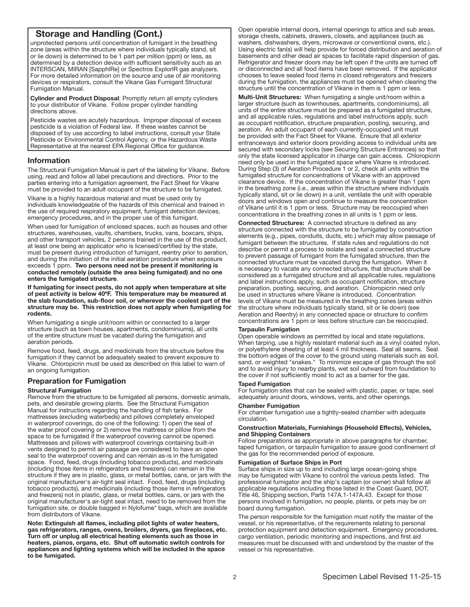# Storage and Handling (Cont.)

unprotected persons until concentration of fumigant in the breathing zone (areas within the structure where individuals typically stand, sit or lie down) is determined to be 1 part per million (ppm) or less, as determined by a detection device with sufficient sensitivity such as an INTERSCAN, MIRAN [SapphlRe] or Spectros ExplorlR gas analyzers. For more detailed information on the source and use of air monitoring devices or respirators, consult the Vikane Gas Fumigant Structural Fumigation Manual.

Cylinder and Product Disposal: Promptly return all empty cylinders to your distributor of Vikane. Follow proper cylinder handling directions above.

Pesticide wastes are acutely hazardous. Improper disposal of excess pesticide is a violation of Federal law. If these wastes cannot be disposed of by use according to label instructions, consult your State Pesticide or Environmental Control Agency, or the Hazardous Waste Representative at the nearest EPA Regional Office for guidance. j

# Information

The Structural Fumigation Manual is part of the labeling for Vikane. Before using, read and follow all label precautions and directions. Prior to the parties entering into a fumigation agreement, the Fact Sheet for Vikane must be provided to an adult occupant of the structure to be fumigated.

Vikane is a highly hazardous material and must be used only by individuals knowledgeable of the hazards of this chemical and trained in the use of required respiratory equipment, fumigant detection devices, emergency procedures, and in the proper use of this fumigant.

When used for fumigation of enclosed spaces, such as houses and other structures, warehouses, vaults, chambers, trucks, vans, boxcars, ships, and other transport vehicles, 2 persons trained in the use of this product, at least one being an applicator who is licensed/certified by the state, must be present during introduction of fumigant, reentry prior to aeration, and during the initiation of the initial aeration procedure when exposure exceeds 1 ppm. Two persons need not be present if monitoring is conducted remotely (outside the area being fumigated) and no one enters the fumigated structure.

If fumigating for insect pests, do not apply when temperature at site of pest activity is below 40ºF. This temperature may be measured at the slab foundation, sub-floor soil, or wherever the coolest part of the structure may be. This restriction does not apply when fumigating for rodents.

When fumigating a single unit/room within or connected to a larger structure (such as town houses, apartments, condominiums), all units of the entire structure must be vacated during the fumigation and aeration periods.

Remove food, feed, drugs, and medicinals from the structure before the fumigation if they cannot be adequately sealed to prevent exposure to Vikane. Chloropicrin must be used as described on this label to warn of an ongoing fumigation.

# Preparation for Fumigation

#### Structural Fumigation

Remove from the structure to be fumigated all persons, domestic animals, pets, and desirable growing plants. See the Structural Fumigation Manual for instructions regarding the handling of fish tanks. For mattresses (excluding waterbeds) and pillows completely enveloped in waterproof coverings, do one of the following: 1) open the seal of the water proof covering or 2) remove the mattress or pillow from the space to be fumigated if the waterproof covering cannot be opened. Mattresses and pillows with waterproof coverings containing built-in vents designed to permit air passage are considered to have an open seal to the waterproof covering and can remain as-is in the fumigated space. Food, feed, drugs (including tobacco products), and medicinals (including those items in refrigerators and freezers) can remain in the structure if they are in plastic, glass, or metal bottles, cans, or jars with the original manufacturer's air-tight seal intact. Food, feed, drugs (including tobacco products), and medicinals (including those items in refrigerators and freezers) not in plastic, glass, or metal bottles, cans, or jars with the original manufacturer's air-tight seal intact, need to be removed from the fumigation site, or double bagged in Nylofume\* bags, which are available from distributors of Vikane.

Note: Extinguish all flames, including pilot lights of water heaters, gas refrigerators, ranges, ovens, broilers, dryers, gas fireplaces, etc. Turn off or unplug all electrical heating elements such as those in heaters, pianos, organs, etc. Shut off automatic switch controls for appliances and lighting systems which will be included in the space to be fumigated.

Open operable internal doors, internal openings to attics and sub areas, storage chests, cabinets, drawers, closets, and appliances (such as washers, dishwashers, dryers, microwave or conventional ovens, etc.). Using electric fan(s) will help provide for forced distribution and aeration of basements and other dead air spaces to facilitate rapid dispersion of gas. Refrigerator and freezer doors may be left open if the units are turned off or disconnected and all food items have been removed. If the applicator chooses to leave sealed food items in closed refrigerators and freezers during the fumigation, the appliances must be opened when clearing the structure until the concentration of Vikane in them is 1 ppm or less.

Multi-Unit Structures: When fumigating a single unit/room within a larger structure (such as townhouses, apartments, condominiums), all units of the entire structure must be prepared as a fumigated structure, and all applicable rules, regulations and label instructions apply, such as occupant notification, structure preparation, posting, securing, and aeration. An adult occupant of each currently-occupied unit must be provided with the Fact Sheet for Vikane. Ensure that all exterior entranceways and exterior doors providing access to individual units are secured with secondary locks (see Securing Structure Entrances) so that only the state licensed applicator in charge can gain access. Chloropicrin need only be used in the fumigated space where Vikane is introduced. During Step (3) of Aeration Procedure 1 or 2, check all units within the fumigated structure for concentrations of Vikane with an approved clearance device. If the concentration of Vikane is greater than 1 ppm in the breathing zone (i.e., areas within the structure where individuals typically stand, sit or lie down) in a unit, ventilate the unit with operable doors and windows open and continue to measure the concentration of Vikane until it is 1 ppm or less. Structure may be reoccupied when concentrations in the breathing zones in all units is 1 ppm or less.

Connected Structures: A connected structure is defined as any structure connected with the structure to be fumigated by construction elements (e.g., pipes, conduits, ducts, etc.) which may allow passage of fumigant between the structures. If state rules and regulations do not describe or permit a process to isolate and seal a connected structure to prevent passage of fumigant from the fumigated structure, then the connected structure must be vacated during the fumigation. When it is necessary to vacate any connected structure, that structure shall be considered as a fumigated structure and all applicable rules, regulations and label instructions apply, such as occupant notification, structure preparation, posting, securing, and aeration. Chloropicrin need only be used in structures where Vikane is introduced. Concentration levels of Vikane must be measured in the breathing zones (areas within the structure where individuals typically stand, sit or lie down) (see Aeration and Reentry) in any connected space or structure to confirm concentrations are 1 ppm or less before structure can be reoccupied.

#### Tarpaulin Fumigation

Open operable windows as permitted by local and state regulations. When tarping, use a highly resistant material such as a vinyl coated nylon, or polyethylene sheeting of at least 4 mil thickness. Seal all seams. Seal the bottom edges of the cover to the ground using materials such as soil, sand, or weighted "snakes." To minimize escape of gas through the soil and to avoid injury to nearby plants, wet soil outward from foundation to the cover if not sufficiently moist to act as a barrier for the gas.

#### Taped Fumigation

For fumigation sites that can be sealed with plastic, paper, or tape, seal adequately around doors, windows, vents, and other openings.

#### Chamber Fumigation

For chamber fumigation use a tightly-sealed chamber with adequate circulation.

#### Construction Materials, Furnishings (Household Effects), Vehicles, and Shipping Containers

Follow preparations as appropriate in above paragraphs for chamber, taped fumigation, or tarpaulin fumigation to assure good confinement of the gas for the recommended period of exposure.

#### Fumigation of Surface Ships in Port

Surface ships in size up to and including large ocean-going ships may be fumigated with Vikane to control the various pests listed. The professional fumigator and the ship's captain (or owner) shall follow all applicable regulations including those listed in the Coast Guard, DOT, Title 46, Shipping section, Parts 147A.1-147A.43. Except for those persons involved in fumigation, no people, plants, or pets may be on board during fumigation.

The person responsible for the fumigation must notify the master of the vessel, or his representative, of the requirements relating to personal protection equipment and detection equipment. Emergency procedures, cargo ventilation, periodic monitoring and inspections, and first aid measures must be discussed with and understood by the master of the vessel or his representative.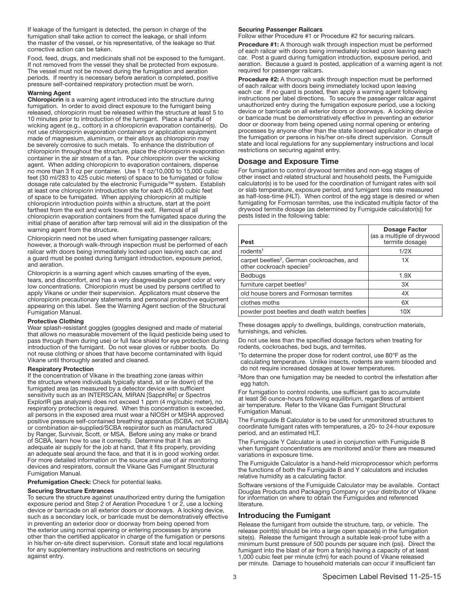If leakage of the fumigant is detected, the person in charge of the fumigation shall take action to correct the leakage, or shall inform the master of the vessel, or his representative, of the leakage so that corrective action can be taken.

Food, feed, drugs, and medicinals shall not be exposed to the fumigant. If not removed from the vessel they shall be protected from exposure. The vessel must not be moved during the fumigation and aeration periods. If reentry is necessary before aeration is completed, positive pressure self-contained respiratory protection must be worn.

#### Warning Agent

Chloropicrin is a warning agent introduced into the structure during fumigation. In order to avoid direct exposure to the fumigant being released, chloropicrin must be released within the structure at least 5 to 10 minutes prior to introduction of the fumigant. Place a handful of wicking agent (e.g., cotton) in a chloropicrin evaporation container(s). Do not use chloropicrin evaporation containers or application equipment made of magnesium, aluminum, or their alloys as chloropicrin may be severely corrosive to such metals. To enhance the distribution of chloropicrin throughout the structure, place the chloropicrin evaporation container in the air stream of a fan. Pour chloropicrin over the wicking agent. When adding chloropicrin to evaporation containers, dispense no more than 3 fl oz per container. Use 1 fl oz/10,000 to 15,000 cubic feet (30 ml/283 to 425 cubic meters) of space to be fumigated or follow dosage rate calculated by the electronic Fumiguide™ system. Establish at least one chloropicrin introduction site for each 45,000 cubic feet of space to be fumigated. When applying chloropicrin at multiple chloropicrin introduction points within a structure, start at the point farthest from the exit and work toward the exit. Removal of all chloropicrin evaporation containers from the fumigated space during the initial phase of aeration after tarp removal will aid in the dissipation of the warning agent from the structure.

Chloropicrin need not be used when fumigating passenger railcars; however, a thorough walk-through inspection must be performed of each railcar with doors being immediately locked upon leaving each car, and a guard must be posted during fumigant introduction, exposure period, and aeration.

Chloropicrin is a warning agent which causes smarting of the eyes, tears, and discomfort, and has a very disagreeable pungent odor at very low concentrations. Chloropicrin must be used by persons certified to apply Vikane or under their supervision. Applicators must observe the chloropicrin precautionary statements and personal protective equipment appearing on this label. See the Warning Agent section of the Structural Fumigation Manual.

#### Protective Clothing

Wear splash-resistant goggles (goggles designed and made of material that allows no measurable movement of the liquid pesticide being used to pass through them during use) or full face shield for eye protection during introduction of the fumigant. Do not wear gloves or rubber boots. Do not reuse clothing or shoes that have become contaminated with liquid Vikane until thoroughly aerated and cleaned.

#### Respiratory Protection

If the concentration of Vikane in the breathing zone (areas within the structure where individuals typically stand, sit or lie down) of the fumigated area (as measured by a detector device with sufficient sensitivity such as an INTERSCAN, MIRAN [SapphlRe] or Spectros ExplorIR gas analyzers) does not exceed 1 ppm (4 mg/cubic meter), no respiratory protection is required. When this concentration is exceeded, all persons in the exposed area must wear a NIOSH or MSHA approved positive pressure self-contained breathing apparatus (SCBA, not SCUBA) or combination air-supplied/SCBA respirator such as manufactured by Ranger, Survivair, Scott, or MSA. Before using any make or brand of SCBA, learn how to use it correctly. Determine that it has an adequate air supply for the job at hand, that it fits properly, providing an adequate seal around the face, and that it is in good working order. For more detailed information on the source and use of air monitoring devices and respirators, consult the Vikane Gas Fumigant Structural Fumigation Manual.

Prefumigation Check: Check for potential leaks.

#### Securing Structure Entrances

To secure the structure against unauthorized entry during the fumigation exposure period and Step 2 of Aeration Procedure 1 or 2, use a locking device or barricade on all exterior doors or doorways. A locking device, such as a secondary lock, or barricade must be demonstratively effective in preventing an exterior door or doorway from being opened from the exterior using normal opening or entering processes by anyone other than the certified applicator in charge of the fumigation or persons in his/her on-site direct supervision. Consult state and local regulations for any supplementary instructions and restrictions on securing against entry.

#### Securing Passenger Railcars

Follow either Procedure #1 or Procedure #2 for securing railcars.

Procedure #1: A thorough walk through inspection must be performed of each railcar with doors being immediately locked upon leaving each car. Post a guard during fumigation introduction, exposure period, and aeration. Because a guard is posted, application of a warning agent is not required for passenger railcars.

Procedure #2: A thorough walk through inspection must be performed of each railcar with doors being immediately locked upon leaving each car. If no guard is posted, then apply a warning agent following instructions per label directions. To secure the passenger railcar against unauthorized entry during the fumigation exposure period, use a locking device or barricade on all exterior doors or doorways. A locking device or barricade must be demonstratively effective in preventing an exterior door or doorway from being opened using normal opening or entering processes by anyone other than the state licensed applicator in charge of the fumigation or persons in his/her on-site direct supervision. Consult state and local regulations for any supplementary instructions and local restrictions on securing against entry.

#### Dosage and Exposure Time

For fumigation to control drywood termites and non-egg stages of other insect and related structural and household pests, the Fumiguide calculator(s) is to be used for the coordination of fumigant rates with soil or slab temperature, exposure period, and fumigant loss rate measured as half-loss-time (HLT). When control of the egg stage is desired or when fumigating for Formosan termites, use the indicated multiple factor of the drywood termite dosage (as determined by Fumiguide calculator(s)) for pests listed in the following table:

| Pest                                                                                          | <b>Dosage Factor</b><br>(as a multiple of drywood<br>termite dosage) |
|-----------------------------------------------------------------------------------------------|----------------------------------------------------------------------|
| rodents <sup>1</sup>                                                                          | 1/2X                                                                 |
| carpet beetles <sup>2</sup> , German cockroaches, and<br>other cockroach species <sup>2</sup> | 1X                                                                   |
| Bedbugs                                                                                       | 1.9X                                                                 |
| furniture carpet beetles <sup>2</sup>                                                         | 3X                                                                   |
| old house borers and Formosan termites                                                        | 4X                                                                   |
| clothes moths                                                                                 | 6X                                                                   |
| powder post beetles and death watch beetles                                                   | 10X                                                                  |

Ī These dosages apply to dwellings, buildings, construction materials, furnishings, and vehicles.

Do not use less than the specified dosage factors when treating for rodents, cockroaches, bed bugs, and termites.

1To determine the proper dose for rodent control, use 80°F as the calculating temperature. Unlike insects, rodents are warm blooded and do not require increased dosages at lower temperatures.

2More than one fumigation may be needed to control the infestation after egg hatch.

For fumigation to control rodents, use sufficient gas to accumulate at least 36 ounce-hours following equilibrium, regardless of ambient air temperature. Refer to the Vikane Gas Fumigant Structural Fumigation Manual.

The Fumiguide B Calculator is to be used for unmonitored structures to coordinate fumigant rates with temperatures, a 20- to 24-hour exposure period, and an estimated HLT.

The Fumiguide Y Calculator is used in conjunction with Fumiguide B when fumigant concentrations are monitored and/or there are measured variations in exposure time.

The Fumiguide Calculator is a hand-held microprocessor which performs the functions of both the Fumiguide B and Y calculators and includes relative humidity as a calculating factor.

Software versions of the Fumiguide Calculator may be available. Contact Douglas Products and Packaging Company or your distributor of Vikane for information on where to obtain the Fumiguides and referenced literature.

# Introducing the Fumigant

Release the fumigant from outside the structure, tarp, or vehicle. The release point(s) should be into a large open space(s) in the fumigation site(s). Release the fumigant through a suitable leak-proof tube with a minimum burst pressure of 500 pounds per square inch (psi). Direct the fumigant into the blast of air from a fan(s) having a capacity of at least 1,000 cubic feet per minute (cfm) for each pound of Vikane released per minute. Damage to household materials can occur if insufficient fan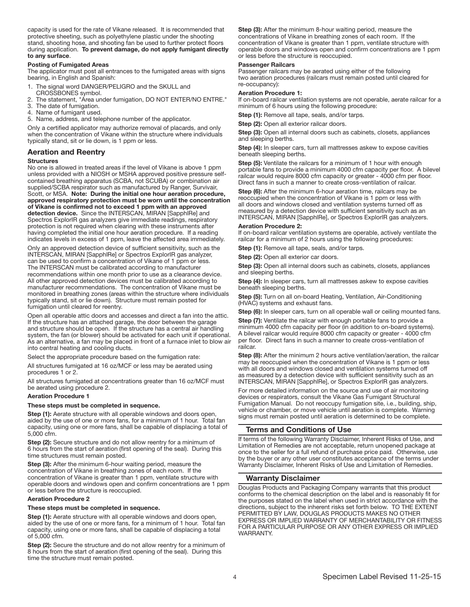capacity is used for the rate of Vikane released. It is recommended that protective sheeting, such as polyethylene plastic under the shooting stand, shooting hose, and shooting fan be used to further protect floors during application. To prevent damage, do not apply fumigant directly to any surface.

#### Posting of Fumigated Areas

The applicator must post all entrances to the fumigated areas with signs bearing, in English and Spanish:

- 1. The signal word DANGER/PELIGRO and the SKULL and
- CROSSBONES symbol.
- 2. The statement, "Area under fumigation, DO NOT ENTER/NO ENTRE."
- 3. The date of fumigation.
- 4. Name of fumigant used.
- 5. Name, address, and telephone number of the applicator.

Only a certified applicator may authorize removal of placards, and only when the concentration of Vikane within the structure where individuals typically stand, sit or lie down, is 1 ppm or less.

#### Aeration and Reentry

#### **Structures**

No one is allowed in treated areas if the level of Vikane is above 1 ppm unless provided with a NIOSH or MSHA approved positive pressure selfcontained breathing apparatus (SCBA, not SCUBA) or combination air supplied/SCBA respirator such as manufactured by Ranger, Survivair, Scott, or MSA. Note: During the initial one hour aeration procedure, approved respiratory protection must be worn until the concentration of Vikane is confirmed not to exceed 1 ppm with an approved detection device. Since the INTERSCAN, MIRAN [SapphlRe] and Spectros ExplorIR gas analyzers give immediate readings, respiratory protection is not required when clearing with these instruments after having completed the initial one hour aeration procedure. If a reading indicates levels in excess of 1 ppm, leave the affected area immediately.

Only an approved detection device of sufficient sensitivity, such as the INTERSCAN, MIRAN [SapphlRe] or Spectros ExplorIR gas analyzer, can be used to confirm a concentration of Vikane of 1 ppm or less. The INTERSCAN must be calibrated according to manufacturer recommendations within one month prior to use as a clearance device. All other approved detection devices must be calibrated according to manufacturer recommendations. The concentration of Vikane must be monitored in breathing zones (areas within the structure where individuals typically stand, sit or lie down). Structure must remain posted for fumigation until cleared for reentry.

Open all operable attic doors and accesses and direct a fan into the attic. If the structure has an attached garage, the door between the garage and structure should be open. If the structure has a central air handling system, the fan (or blower) should be activated for each unit if operational. As an alternative, a fan may be placed in front of a furnace inlet to blow air into central heating and cooling ducts.

Select the appropriate procedure based on the fumigation rate:

All structures fumigated at 16 oz/MCF or less may be aerated using procedures 1 or 2.

All structures fumigated at concentrations greater than 16 oz/MCF must be aerated using procedure 2.

#### Aeration Procedure 1

### These steps must be completed in sequence.

Step (1): Aerate structure with all operable windows and doors open, aided by the use of one or more fans, for a minimum of 1 hour. Total fan capacity, using one or more fans, shall be capable of displacing a total of 5,000 cfm. I

Step (2): Secure structure and do not allow reentry for a minimum of 6 hours from the start of aeration (first opening of the seal). During this time structures must remain posted.

Step (3): After the minimum 6-hour waiting period, measure the concentration of Vikane in breathing zones of each room. If the concentration of Vikane is greater than 1 ppm, ventilate structure with operable doors and windows open and confirm concentrations are 1 ppm or less before the structure is reoccupied.

#### Aeration Procedure 2

# These steps must be completed in sequence.

Step (1): Aerate structure with all operable windows and doors open, aided by the use of one or more fans, for a minimum of 1 hour. Total fan capacity, using one or more fans, shall be capable of displacing a total of 5,000 cfm.

Step (2): Secure the structure and do not allow reentry for a minimum of 8 hours from the start of aeration (first opening of the seal). During this time the structure must remain posted.

Step (3): After the minimum 8-hour waiting period, measure the concentrations of Vikane in breathing zones of each room. If the concentration of Vikane is greater than 1 ppm, ventilate structure with operable doors and windows open and confirm concentrations are 1 ppm or less before the structure is reoccupied.

#### Passenger Railcars

Passenger railcars may be aerated using either of the following two aeration procedures (railcars must remain posted until cleared for re-occupancy):

#### Aeration Procedure 1:

If on-board railcar ventilation systems are not operable, aerate railcar for a minimum of 6 hours using the following procedure:

Step (1): Remove all tape, seals, and/or tarps.

Step (2): Open all exterior railcar doors.

Step (3): Open all internal doors such as cabinets, closets, appliances and sleeping berths.

Step (4): In sleeper cars, turn all mattresses askew to expose cavities beneath sleeping berths.

Step (5): Ventilate the railcars for a minimum of 1 hour with enough portable fans to provide a minimum 4000 cfm capacity per floor. A bilevel railcar would require 8000 cfm capacity or greater - 4000 cfm per floor. Direct fans in such a manner to create cross-ventilation of railcar.

Step (6): After the minimum 6-hour aeration time, railcars may be reoccupied when the concentration of Vikane is 1 ppm or less with all doors and windows closed and ventilation systems turned off as measured by a detection device with sufficient sensitivity such as an INTERSCAN, MIRAN [SapphlRe], or Spectros ExplorlR gas analyzers.

Aeration Procedure 2: If on-board railcar ventilation systems are operable, actively ventilate the railcar for a minimum of 2 hours using the following procedures:

Step (1): Remove all tape, seals, and/or tarps.

Step (2): Open all exterior car doors.

Step (3): Open all internal doors such as cabinets, closets, appliances and sleeping berths.

Step (4): In sleeper cars, turn all mattresses askew to expose cavities beneath sleeping berths.

Step (5): Turn on all on-board Heating, Ventilation, Air-Conditioning (HVAC) systems and exhaust fans.

Step (6): In sleeper cars, turn on all operable wall or ceiling mounted fans.

Step (7): Ventilate the railcar with enough portable fans to provide a minimum 4000 cfm capacity per floor (in addition to on-board systems). A bilevel railcar would require 8000 cfm capacity or greater - 4000 cfm per floor. Direct fans in such a manner to create cross-ventilation of railcar. j

Step (8): After the minimum 2 hours active ventilation/aeration, the railcar may be reoccupied when the concentration of Vikane is 1 ppm or less with all doors and windows closed and ventilation systems turned off as measured by a detection device with sufficient sensitivity such as an INTERSCAN, MIRAN [SapphlRe], or Spectros ExplorlR gas analyzers.

For more detailed information on the source and use of air monitoring devices or respirators, consult the Vikane Gas Fumigant Structural Fumigation Manual. Do not reoccupy fumigation site, i.e., building, ship, vehicle or chamber, or move vehicle until aeration is complete. Warning signs must remain posted until aeration is determined to be complete.

# Terms and Conditions of Use

If terms of the following Warranty Disclaimer, Inherent Risks of Use, and Limitation of Remedies are not acceptable, return unopened package at once to the seller for a full refund of purchase price paid. Otherwise, use by the buyer or any other user constitutes acceptance of the terms under Warranty Disclaimer, Inherent Risks of Use and Limitation of Remedies.

#### Warranty Disclaimer

Douglas Products and Packaging Company warrants that this product conforms to the chemical description on the label and is reasonably fit for the purposes stated on the label when used in strict accordance with the directions, subject to the inherent risks set forth below. TO THE EXTENT PERMITTED BY LAW, DOUGLAS PRODUCTS MAKES NO OTHER EXPRESS OR IMPLIED WARRANTY OF MERCHANTABILITY OR FITNESS FOR A PARTICULAR PURPOSE OR ANY OTHER EXPRESS OR IMPLIED WARRANTY.